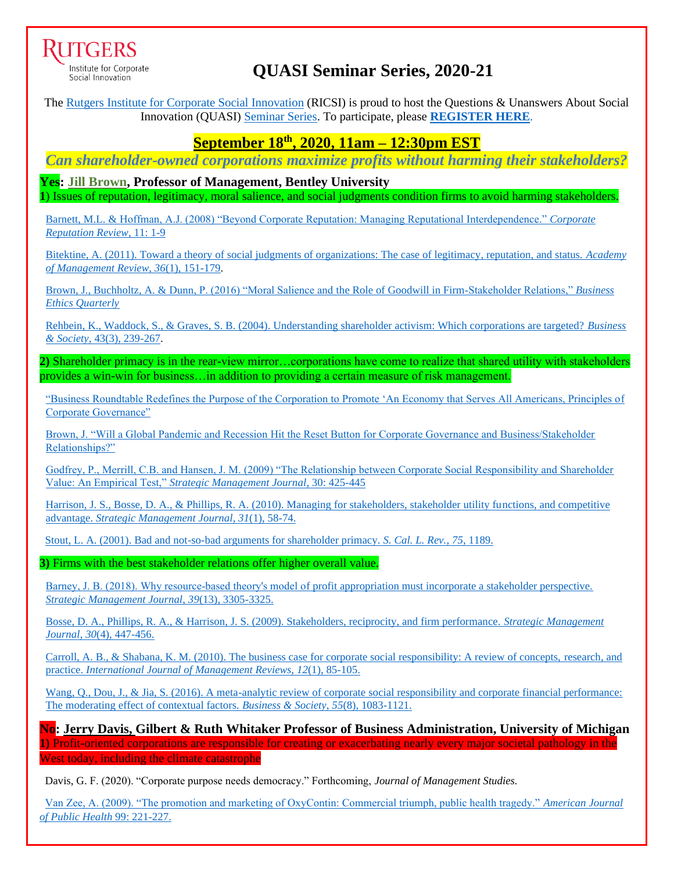

Institute for Corporate Social Innovation

# **QUASI Seminar Series, 2020-21**

The [Rutgers Institute for Corporate Social Innovation](https://www.business.rutgers.edu/ricsi) (RICSI) is proud to host the Questions & Unanswers About Social Innovation (QUASI) [Seminar Series.](https://www.business.rutgers.edu/sites/default/files/documents/ricsi-quasi-seminar-series.pdf) To participate, please **[REGISTER HERE](mailto:REGISTER%20HERE.)**.

## **September 18th , 2020, 11am – 12:30pm EST**

*Can shareholder-owned corporations maximize profits without harming their stakeholders?*

**Yes: [Jill Brown,](https://faculty.bentley.edu/details.asp?uname=jbrown) Professor of Management, Bentley University 1**) Issues of reputation, legitimacy, moral salience, and social judgments condition firms to avoid harming stakeholders.

[Barnett, M.L. & Hoffman, A.J. \(2008\) "Beyond Corporate Reputation: Managing Reputational Interdependence."](https://link.springer.com/article/10.1057/crr.2008.2) *Corporate [Reputation Review](https://link.springer.com/article/10.1057/crr.2008.2)*, 11: 1-9

[Bitektine, A. \(2011\). Toward a theory of social judgments of organizations: The case of legitimacy, reputation, and status.](https://www.jstor.org/stable/pdf/29765019.pdf?casa_token=eoxWEs-fn9sAAAAA:eKSxgSq7YQJacise7Pe_05M0M7iH05HLq-RxfeHhk-7yF29scMP2kPtPGmTIG6ncXrdXAEZauR22odXbyEM0rYlQmNhYc3zMlpQNfjB6Qly96pgJkY5s) *Academy [of Management Review](https://www.jstor.org/stable/pdf/29765019.pdf?casa_token=eoxWEs-fn9sAAAAA:eKSxgSq7YQJacise7Pe_05M0M7iH05HLq-RxfeHhk-7yF29scMP2kPtPGmTIG6ncXrdXAEZauR22odXbyEM0rYlQmNhYc3zMlpQNfjB6Qly96pgJkY5s)*, *36*(1), 151-179.

Brown, J., Buchholtz, A. & [Dunn, P. \(2016\) "Moral Salience and the Role of Goodwill in Firm-Stakeholder Relations,"](https://www.cambridge.org/core/journals/business-ethics-quarterly/article/moral-salience-and-the-role-of-goodwill-in-firmstakeholder-trust-repair/EC03A29FE14E354EC221187C85F56C66) *Business [Ethics Quarterly](https://www.cambridge.org/core/journals/business-ethics-quarterly/article/moral-salience-and-the-role-of-goodwill-in-firmstakeholder-trust-repair/EC03A29FE14E354EC221187C85F56C66)*

[Rehbein, K., Waddock, S., & Graves, S. B. \(2004\). Understanding shareholder activism: Which corporations are targeted?](https://journals.sagepub.com/doi/pdf/10.1177/0007650304266869?casa_token=N2hl-RRCicIAAAAA:wOD-oEaV-xUZpuQLmUoetbmP6SsX8PV7nt6SyjHKbEIAjVcMRCOgORCoyAeXTdgaRm7GErGOFKIDCQ) *Business & Society,* [43\(3\), 239-267.](https://journals.sagepub.com/doi/pdf/10.1177/0007650304266869?casa_token=N2hl-RRCicIAAAAA:wOD-oEaV-xUZpuQLmUoetbmP6SsX8PV7nt6SyjHKbEIAjVcMRCOgORCoyAeXTdgaRm7GErGOFKIDCQ)

**2)** Shareholder primacy is in the rear-view mirror…corporations have come to realize that shared utility with stakeholders provides a win-win for business…in addition to providing a certain measure of risk management.

["Business Roundtable Redefines the Purpose of the Corporation to Promote 'An Economy that Serves All Americans, Principles of](https://nam02.safelinks.protection.outlook.com/?url=https%3A%2F%2Fwww.businessroundtable.org%2Fbusiness-roundtable-redefines-the-purpose-of-a-corporation-to-promote-an-economy-that-serves-all-americans&data=02%7C01%7Cmbarnett%40business.rutgers.edu%7C6638e9e957494342774908d847b060aa%7Cb92d2b234d35447093ff69aca6632ffe%7C1%7C1%7C637338170177523093&sdata=JATIPJVqI9NNjQOsmZi82r5isWebP2YJ3GslsbygpbY%3D&reserved=0)  [Corporate Governance"](https://nam02.safelinks.protection.outlook.com/?url=https%3A%2F%2Fwww.businessroundtable.org%2Fbusiness-roundtable-redefines-the-purpose-of-a-corporation-to-promote-an-economy-that-serves-all-americans&data=02%7C01%7Cmbarnett%40business.rutgers.edu%7C6638e9e957494342774908d847b060aa%7Cb92d2b234d35447093ff69aca6632ffe%7C1%7C1%7C637338170177523093&sdata=JATIPJVqI9NNjQOsmZi82r5isWebP2YJ3GslsbygpbY%3D&reserved=0)

[Brown, J. "Will a Global Pandemic and Recession Hit the Reset Button for Corporate Governance and Business/Stakeholder](https://sim.aom.org/covid-19-insights)  [Relationships?"](https://sim.aom.org/covid-19-insights)

[Godfrey, P., Merrill, C.B. and Hansen, J. M. \(2009\) "The Relationship between Corporate Social Responsibility and Shareholder](https://onlinelibrary.wiley.com/doi/pdf/10.1002/smj.750) Value: An Empirical Test," *[Strategic Management Journal](https://onlinelibrary.wiley.com/doi/pdf/10.1002/smj.750)*, 30: 425-445

[Harrison, J. S., Bosse, D. A., & Phillips, R. A. \(2010\). Managing for stakeholders, stakeholder utility functions, and competitive](https://onlinelibrary.wiley.com/doi/pdf/10.1002/smj.801?casa_token=xBqeEpgLxtwAAAAA:akAtIF4i2LRmLna5OacX06li1doxgfZXnFQPWP2Kokzc9GsT6KI6Nw3hbyL1O_OA1X_sEZJ8XxPjfgE)  advantage. *[Strategic Management Journal](https://onlinelibrary.wiley.com/doi/pdf/10.1002/smj.801?casa_token=xBqeEpgLxtwAAAAA:akAtIF4i2LRmLna5OacX06li1doxgfZXnFQPWP2Kokzc9GsT6KI6Nw3hbyL1O_OA1X_sEZJ8XxPjfgE)*, *31*(1), 58-74.

[Stout, L. A. \(2001\). Bad and not-so-bad arguments for shareholder primacy.](https://heinonline.org/HOL/LandingPage?handle=hein.journals/scal75&div=37&id=&page=) *S. Cal. L. Rev.*, *75*, 1189.

**3)** Firms with the best stakeholder relations offer higher overall value.

Barney, J. B. (2018). Why resource-based theory's model of profit appropriation must incorporate a stakeholder perspective. *[Strategic Management Journal](https://onlinelibrary.wiley.com/doi/pdf/10.1002/smj.2949?casa_token=uCSJ250ar7kAAAAA:sQ43juRvIthbT9TToU7MXkBl1L1fJPvFcZZj2Gpd9-FSzE9oppanCTfVWQMv5sMpKrzxXR_zKiv-5Vs)*, *39*(13), 3305-3325.

[Bosse, D. A., Phillips, R. A., & Harrison, J. S. \(2009\). Stakeholders, reciprocity, and firm performance.](https://onlinelibrary.wiley.com/doi/pdf/10.1002/smj.743?casa_token=mqXjrvyeWeUAAAAA:KAt4_J1hJ3KQq8J2kz4_IfgtldAk56eKhpyyMknIu1Pq_qEdD35PUeAUxvlwLs7quProHmEn700sVyk) *Strategic Management Journal*, *30*[\(4\), 447-456.](https://onlinelibrary.wiley.com/doi/pdf/10.1002/smj.743?casa_token=mqXjrvyeWeUAAAAA:KAt4_J1hJ3KQq8J2kz4_IfgtldAk56eKhpyyMknIu1Pq_qEdD35PUeAUxvlwLs7quProHmEn700sVyk)

[Carroll, A. B., & Shabana, K. M. \(2010\). The business case for corporate social responsibility: A review of concepts, research,](https://onlinelibrary.wiley.com/doi/pdf/10.1111/j.1468-2370.2009.00275.x?casa_token=3td7s9pB-DcAAAAA:zemguLRUay5BEVRXJcAGM9GFiqlK3D3eZMjvA3VffZgjzzcdwkiBcXCio2QUa_LAzTDydxXGUcYqUTs) and practice. *[International Journal of](https://onlinelibrary.wiley.com/doi/pdf/10.1111/j.1468-2370.2009.00275.x?casa_token=3td7s9pB-DcAAAAA:zemguLRUay5BEVRXJcAGM9GFiqlK3D3eZMjvA3VffZgjzzcdwkiBcXCio2QUa_LAzTDydxXGUcYqUTs) Management Reviews*, *12*(1), 85-105.

Wang, Q., Dou, J., & Jia, S. (2016). A meta-analytic review of corporate social responsibility and corporate financial performance: [The moderating effect of contextual factors.](https://journals.sagepub.com/doi/pdf/10.1177/0007650315584317?casa_token=tXbUfwj2wMcAAAAA:PvHzv_x0vFTE3Q0KnDS9gzye5uTbw7qtQ1xV17nZQrFsjSJemJNN26zR9cxvmAEY-ME0GLZ4lCMYJw) *Business & Society*, *55*(8), 1083-1121.

**No: [Jerry Davis,](https://michiganross.umich.edu/faculty-research/faculty/jerry-davis) Gilbert & Ruth Whitaker Professor of Business Administration, University of Michigan 1)** Profit-oriented corporations are responsible for creating or exacerbating nearly every major societal pathology in the West today, including the climate catastrophe

Davis, G. F. (2020). "Corporate purpose needs democracy." Forthcoming, *Journal of Management Studies.*

 [Van Zee, A. \(2009\). "The promotion and marketing of OxyContin: Commercial triumph, public health tragedy."](https://www.ncbi.nlm.nih.gov/pmc/articles/PMC2622774/) *American Journal [of Public Health](https://www.ncbi.nlm.nih.gov/pmc/articles/PMC2622774/)* 99: 221-227.